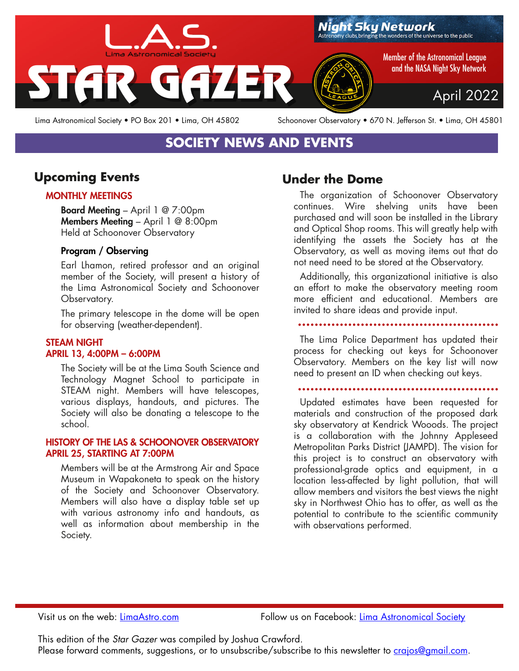

Lima Astronomical Society • PO Box 201 • Lima, OH 45802 Schoonover Observatory • 670 N. Jefferson St. • Lima, OH 45801

# **SOCIETY NEWS AND EVENTS**

### **Upcoming Events**

#### MONTHLY MEETINGS

Board Meeting – April 1 @ 7:00pm Members Meeting - April 1 @ 8:00pm Held at Schoonover Observatory

#### Program / Observing

Earl Lhamon, retired professor and an original member of the Society, will present a history of the Lima Astronomical Society and Schoonover Observatory.

The primary telescope in the dome will be open for observing (weather-dependent).

#### STEAM NIGHT APRIL 13, 4:00PM – 6:00PM

The Society will be at the Lima South Science and Technology Magnet School to participate in STEAM night. Members will have telescopes, various displays, handouts, and pictures. The Society will also be donating a telescope to the school.

#### HISTORY OF THE LAS & SCHOONOVER OBSERVATORY APRIL 25, STARTING AT 7:00PM

Members will be at the Armstrong Air and Space Museum in Wapakoneta to speak on the history of the Society and Schoonover Observatory. Members will also have a display table set up with various astronomy info and handouts, as well as information about membership in the Society.

## **Under the Dome**

The organization of Schoonover Observatory continues. Wire shelving units have been purchased and will soon be installed in the Library and Optical Shop rooms. This will greatly help with identifying the assets the Society has at the Observatory, as well as moving items out that do not need need to be stored at the Observatory.

Additionally, this organizational initiative is also an effort to make the observatory meeting room more efficient and educational. Members are invited to share ideas and provide input.

The Lima Police Department has updated their process for checking out keys for Schoonover Observatory. Members on the key list will now need to present an ID when checking out keys.

Updated estimates have been requested for materials and construction of the proposed dark sky observatory at Kendrick Wooods. The project is a collaboration with the Johnny Appleseed Metropolitan Parks District (JAMPD). The vision for this project is to construct an observatory with professional-grade optics and equipment, in a location less-affected by light pollution, that will allow members and visitors the best views the night sky in Northwest Ohio has to offer, as well as the potential to contribute to the scientific community with observations performed.

Visit us on the web: [LimaAstro.com](https://LimaAstro.com) Follow us on Facebook: [Lima Astronomical Society](https://facebook.com/limaastronomicalsociety)

This edition of the *Star Gazer* was compiled by Joshua Crawford. Please forward comments, suggestions, or to unsubscribe/subscribe to this newsletter to [crajos@gmail.com.](mailto:crajos@gmail.com)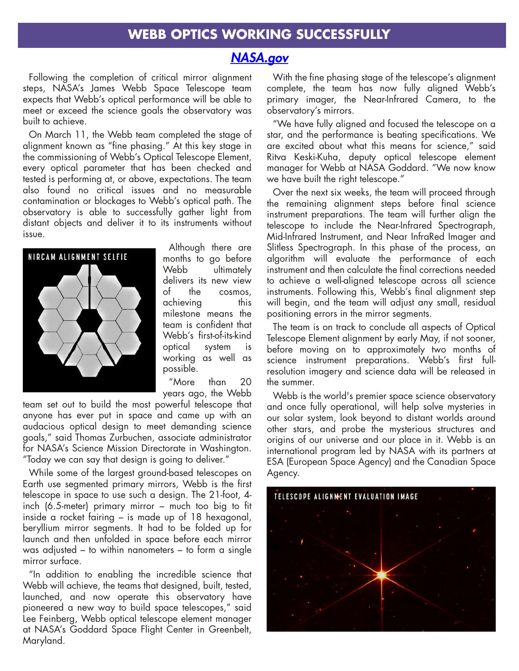#### **WEBB OPTICS WORKING SUCCESSFULLY**

### *[NASA.gov](https://www.nasa.gov/press-release/nasa-s-webb-reaches-alignment-milestone-optics-working-successfully)*

Following the completion of critical mirror alignment steps, NASA's James Webb Space Telescope team expects that Webb's optical performance will be able to meet or exceed the science goals the observatory was built to achieve.

On March 11, the Webb team completed the stage of alignment known as "fine <sup>p</sup>hasing." At this key stage in the commissioning of Webb's Optical Telescope Element, every optical parameter that has been checked and tested is performing at, or above, expectations. The team also found no critical issues and no measurable contamination or blockages to Webb's optical path. The observatory is able to successfully gather light from distant objects and deliver it to its instruments without issue.



Although there are months to go before Webb ultimately delivers its new view of the cosmos, achieving this milestone means the team is confident that Webb's first-of-its-kind optical system is working as well as possible.

"More than 20 years ago, the Webb

team set out to build the most powerful telescope that anyone has ever pu<sup>t</sup> in space and came up with an audacious optical design to meet demanding science goals," said Thomas Zurbuchen, associate administrator for NASA's Science Mission Directorate in Washington. "Today we can say that design is going to deliver."

While some of the largest ground-based telescopes on Earth use segmented primary mirrors, Webb is the first telescope in space to use such <sup>a</sup> design. The 21-foot, 4 inch (6.5-meter) primary mirror – much too big to fit inside <sup>a</sup> rocket fairing – is made up of 18 hexagonal, beryllium mirror segments. It had to be folded up for launch and then unfolded in space before each mirror was adjusted – to within nanometers – to form <sup>a</sup> single mirror surface.

"In addition to enabling the incredible science that Webb will achieve, the teams that designed, built, tested, launched, and now operate this observatory have <sup>p</sup>ioneered <sup>a</sup> new way to build space telescopes," said Lee Feinberg, Webb optical telescope element manager at NASA's Goddard Space Flight Center in Greenbelt, Maryland.

With the fine <sup>p</sup>hasing stage of the telescope's alignment complete, the team has now fully aligned Webb's primary imager, the Near-Infrared Camera, to the observatory's mirrors.

"We have fully aligned and focused the telescope on <sup>a</sup> star, and the performance is beating specifications. We are excited about what this means for science," said Ritva Keski-Kuha, deputy optical telescope element manager for Webb at NASA Goddard. "We now know we have built the right telescope."

Over the next six weeks, the team will proceed through the remaining alignment steps before final science instrument preparations. The team will further align the telescope to include the Near-Infrared Spectrograph, Mid-Infrared Instrument, and Near InfraRed Imager and Slitless Spectrograph. In this <sup>p</sup>hase of the process, an algorithm will evaluate the performance of each instrument and then calculate the final corrections needed to achieve <sup>a</sup> well-aligned telescope across all science instruments. Following this, Webb's final alignment step will begin, and the team will adjust any small, residual positioning errors in the mirror segments.

The team is on track to conclude all aspects of Optical Telescope Element alignment by early May, if not sooner, before moving on to approximately two months of science instrument preparations. Webb's first fullresolution imagery and science data will be released in the summer.

Webb is the world's premier space science observatory and once fully operational, will help solve mysteries in our solar system, look beyond to distant worlds around other stars, and probe the mysterious structures and origins of our universe and our <sup>p</sup>lace in it. Webb is an international program led by NASA with its partners at ESA (European Space Agency) and the Canadian Space Agency.

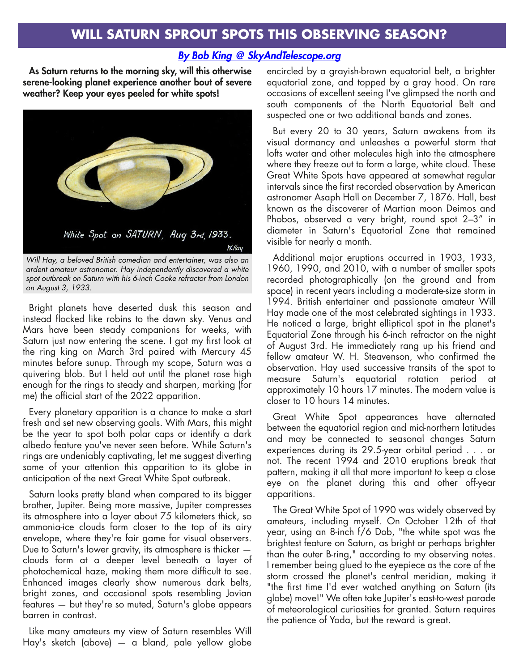#### *[By Bob King @ SkyAndTelescope.org](https://skyandtelescope.org/astronomy-news/will-saturn-sprout-spots-this-observing-season/)*

As Saturn returns to the morning sky, will this otherwise serene-looking <sup>p</sup>lanet experience another bout of severe weather? Keep your eyes peeled for white spots!



*Will Hay, a beloved British comedian and entertainer, was also an ardent amateur astronomer. Hay independently discovered a white spot outbreak on Saturn with his 6-inch Cooke refractor from London on August 3, 1933.*

Bright <sup>p</sup>lanets have deserted dusk this season and instead flocked like robins to the dawn sky. Venus and Mars have been steady companions for weeks, with Saturn just now entering the scene. <sup>I</sup> go<sup>t</sup> my first look at the ring king on March 3rd paired with Mercury 45 minutes before sunup. Through my scope, Saturn was <sup>a</sup> quivering blob. But <sup>I</sup> held out until the <sup>p</sup>lanet rose high enough for the rings to steady and sharpen, marking (for me) the official start of the 2022 apparition.

Every <sup>p</sup>lanetary apparition is <sup>a</sup> chance to make <sup>a</sup> start fresh and set new observing goals. With Mars, this might be the year to spo<sup>t</sup> both polar caps or identify <sup>a</sup> dark albedo feature you've never seen before. While Saturn's rings are undeniably captivating, let me sugges<sup>t</sup> diverting some of your attention this apparition to its <sup>g</sup>lobe in anticipation of the next Great White Spot outbreak.

Saturn looks pretty bland when compared to its bigger brother, Jupiter. Being more massive, Jupiter compresses its atmosphere into <sup>a</sup> layer about <sup>75</sup> kilometers thick, so ammonia-ice clouds form closer to the top of its airy envelope, where they're fair game for visual observers. Due to Saturn's lower gravity, its atmosphere is thicker clouds form at <sup>a</sup> deeper level beneath <sup>a</sup> layer of <sup>p</sup>hotochemical haze, making them more difficult to see. Enhanced images clearly show numerous dark belts, bright zones, and occasional spots resembling Jovian features — but they're so muted, Saturn's <sup>g</sup>lobe appears barren in contrast.

Like many amateurs my view of Saturn resembles Will Hay's sketch (above) — <sup>a</sup> bland, pale yellow <sup>g</sup>lobe

encircled by <sup>a</sup> grayish-brown equatorial belt, <sup>a</sup> brighter equatorial zone, and topped by <sup>a</sup> gray hood. On rare occasions of excellent seeing I've <sup>g</sup>limpsed the north and south components of the North Equatorial Belt and suspected one or two additional bands and zones.

But every 20 to 30 years, Saturn awakens from its visual dormancy and unleashes <sup>a</sup> powerful storm that lofts water and other molecules high into the atmosphere where they freeze out to form <sup>a</sup> large, white cloud. These Great White Spots have appeared at somewhat regular intervals since the first recorded observation by American astronomer Asaph Hall on December 7, 1876. Hall, best known as the discoverer of Martian moon Deimos and Phobos, observed <sup>a</sup> very bright, round spo<sup>t</sup> 2–3" in diameter in Saturn's Equatorial Zone that remained visible for nearly <sup>a</sup> month.

Additional major eruptions occurred in 1903, 1933, 1960, 1990, and 2010, with <sup>a</sup> number of smaller spots recorded <sup>p</sup>hotographically (on the ground and from space) in recent years including <sup>a</sup> moderate-size storm in 1994. British entertainer and passionate amateur Will Hay made one of the most celebrated sightings in 1933. He noticed <sup>a</sup> large, bright elliptical spo<sup>t</sup> in the <sup>p</sup>lanet's Equatorial Zone through his 6-inch refractor on the night of August 3rd. He immediately rang up his friend and fellow amateur W. H. Steavenson, who confirmed the observation. Hay used successive transits of the spo<sup>t</sup> to measure Saturn's equatorial rotation period at approximately 10 hours <sup>17</sup> minutes. The modern value is closer to 10 hours 14 minutes.

Great White Spot appearances have alternated between the equatorial region and mid-northern latitudes and may be connected to seasonal changes Saturn experiences during its 29.5-year orbital period . . . or not. The recent 1994 and 2010 eruptions break that pattern, making it all that more important to keep <sup>a</sup> close eye on the <sup>p</sup>lanet during this and other off-year apparitions.

The Great White Spot of 1990 was widely observed by amateurs, including myself. On October 12th of that year, using an 8-inch f/6 Dob, "the white spo<sup>t</sup> was the brightest feature on Saturn, as bright or perhaps brighter than the outer B-ring," according to my observing notes. <sup>I</sup> remember being <sup>g</sup>lued to the eyepiece as the core of the storm crossed the <sup>p</sup>lanet's central meridian, making it "the first time I'd ever watched anything on Saturn (its <sup>g</sup>lobe) move!" We often take Jupiter's east-to-west parade of meteorological curiosities for granted. Saturn requires the patience of Yoda, but the reward is great.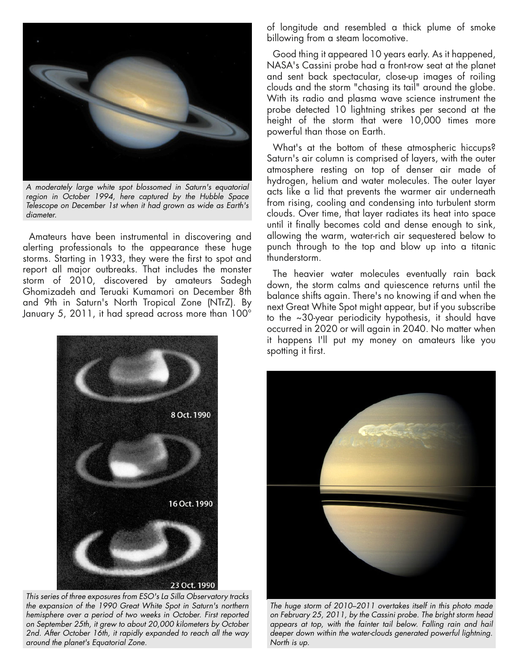

*A moderately large white spot blossomed in Saturn's equatorial region in October 1994, here captured by the Hubble Space Telescope on December 1st when it had grown as wide as Earth's diameter.*

Amateurs have been instrumental in discovering and alerting professionals to the appearance these huge storms. Starting in 1933, they were the first to spo<sup>t</sup> and repor<sup>t</sup> all major outbreaks. That includes the monster storm of 2010, discovered by amateurs Sadegh Ghomizadeh and Teruaki Kumamori on December 8th and 9th in Saturn's North Tropical Zone (NTrZ). By January 5, 2011, it had spread across more than 100°



*This series of three exposures from ESO's La Silla Observatory tracks the expansion of the 1990 Great White Spot in Saturn's northern hemisphere over a period of two weeks in October. First reported on September 25th, it grew to about 20,000 kilometers by October 2nd. After October 16th, it rapidly expanded to reach all the way around the planet's Equatorial Zone.*

of longitude and resembled <sup>a</sup> thick <sup>p</sup>lume of smoke billowing from <sup>a</sup> steam locomotive.

Good thing it appeared 10 years early. As it happened, NASA's Cassini probe had <sup>a</sup> front-row seat at the <sup>p</sup>lanet and sent back spectacular, close-up images of roiling clouds and the storm "chasing its tail" around the <sup>g</sup>lobe. With its radio and <sup>p</sup>lasma wave science instrument the probe detected 10 lightning strikes per second at the height of the storm that were 10,000 times more powerful than those on Earth.

What's at the bottom of these atmospheric hiccups? Saturn's air column is comprised of layers, with the outer atmosphere resting on top of denser air made of hydrogen, helium and water molecules. The outer layer acts like <sup>a</sup> lid that prevents the warmer air underneath from rising, cooling and condensing into turbulent storm clouds. Over time, that layer radiates its heat into space until it finally becomes cold and dense enough to sink, allowing the warm, water-rich air sequestered below to punch through to the top and blow up into <sup>a</sup> titanic thunderstorm.

The heavier water molecules eventually rain back down, the storm calms and quiescence returns until the balance shifts again. There's no knowing if and when the next Great White Spot might appear, but if you subscribe to the ~30-year periodicity hypothesis, it should have occurred in 2020 or will again in 2040. No matter when it happens I'll pu<sup>t</sup> my money on amateurs like you spotting it first.



*The huge storm of 2010–2011 overtakes itself in this photo made on February 25, 2011, by the Cassini probe. The bright storm head appears at top, with the fainter tail below. Falling rain and hail deeper down within the water-clouds generated powerful lightning. North is up.*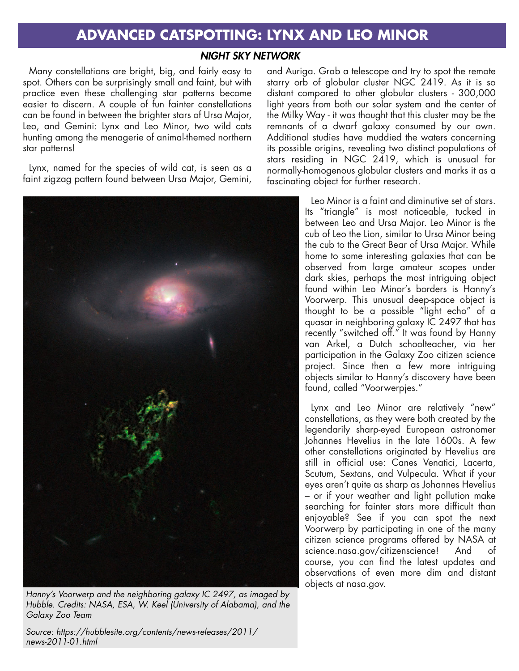# **ADVANCED CATSPOTTING: LYNX AND LEO MINOR**

#### *NIGHT SKY NETWORK*

Many constellations are bright, big, and fairly easy to spot. Others can be surprisingly small and faint, but with practice even these challenging star patterns become easier to discern. A couple of fun fainter constellations can be found in between the brighter stars of Ursa Major, Leo, and Gemini: Lynx and Leo Minor, two wild cats hunting among the menagerie of animal-themed northern star patterns!

Lynx, named for the species of wild cat, is seen as a faint zigzag pattern found between Ursa Major, Gemini,



*Hanny's Voorwerp and the neighboring galaxy IC 2497, as imaged by Hubble. Credits: NASA, ESA, W. Keel (University of Alabama), and the Galaxy Zoo Team*

*Source: https://hubblesite.org/contents/news-releases/2011/ news-2011-01.html*

and Auriga. Grab a telescope and try to spot the remote starry orb of globular cluster NGC 2419. As it is so distant compared to other globular clusters - 300,000 light years from both our solar system and the center of the Milky Way - it was thought that this cluster may be the remnants of a dwarf galaxy consumed by our own. Additional studies have muddied the waters concerning its possible origins, revealing two distinct populations of stars residing in NGC 2419, which is unusual for normally-homogenous globular clusters and marks it as a fascinating object for further research.

> Leo Minor is a faint and diminutive set of stars. Its "triangle" is most noticeable, tucked in between Leo and Ursa Major. Leo Minor is the cub of Leo the Lion, similar to Ursa Minor being the cub to the Great Bear of Ursa Major. While home to some interesting galaxies that can be observed from large amateur scopes under dark skies, perhaps the most intriguing object found within Leo Minor's borders is Hanny's Voorwerp. This unusual deep-space object is thought to be a possible "light echo" of a quasar in neighboring galaxy IC 2497 that has recently "switched off." It was found by Hanny van Arkel, a Dutch schoolteacher, via her participation in the Galaxy Zoo citizen science project. Since then a few more intriguing objects similar to Hanny's discovery have been found, called "Voorwerpjes."

> Lynx and Leo Minor are relatively "new" constellations, as they were both created by the legendarily sharp-eyed European astronomer Johannes Hevelius in the late 1600s. A few other constellations originated by Hevelius are still in official use: Canes Venatici, Lacerta, Scutum, Sextans, and Vulpecula. What if your eyes aren't quite as sharp as Johannes Hevelius – or if your weather and light pollution make searching for fainter stars more difficult than enjoyable? See if you can spot the next Voorwerp by participating in one of the many citizen science programs offered by NASA at science.nasa.gov/citizenscience! And of course, you can find the latest updates and observations of even more dim and distant objects at nasa.gov.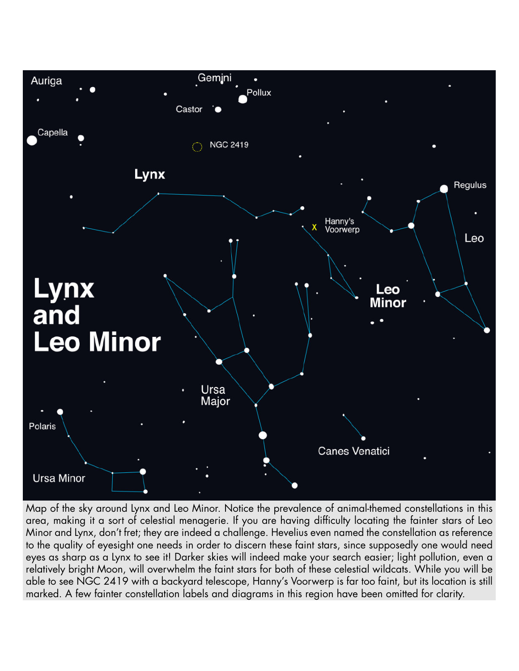

Map of the sky around Lynx and Leo Minor. Notice the prevalence of animal-themed constellations in this area, making it a sort of celestial menagerie. If you are having difficulty locating the fainter stars of Leo Minor and Lynx, don't fret; they are indeed a challenge. Hevelius even named the constellation as reference to the quality of eyesight one needs in order to discern these faint stars, since supposedly one would need eyes as sharp as a Lynx to see it! Darker skies will indeed make your search easier; light pollution, even a relatively bright Moon, will overwhelm the faint stars for both of these celestial wildcats. While you will be able to see NGC 2419 with a backyard telescope, Hanny's Voorwerp is far too faint, but its location is still marked. A few fainter constellation labels and diagrams in this region have been omitted for clarity.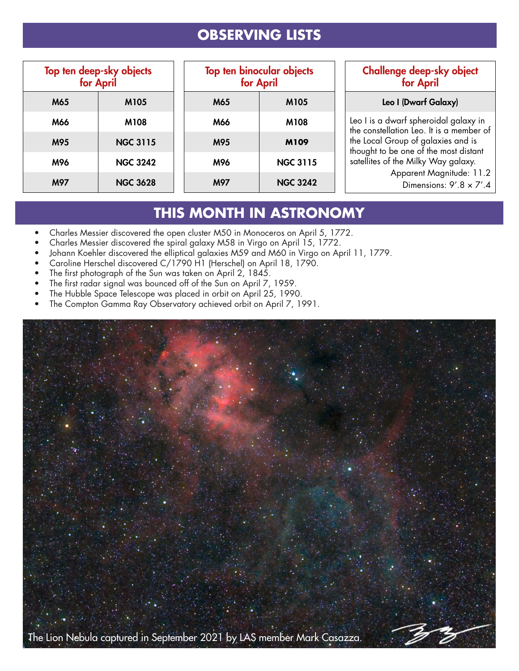# **OBSERVING LISTS**

| Top ten deep-sky objects<br>for April |                 |
|---------------------------------------|-----------------|
| M65                                   | M105            |
| M66                                   | M108            |
| M95                                   | <b>NGC 3115</b> |
| M96                                   | <b>NGC 3242</b> |
| M97                                   | <b>NGC 3628</b> |

| <b>Top ten binocular objects</b><br>for April |                 |  |
|-----------------------------------------------|-----------------|--|
| M65                                           | M105            |  |
| M66                                           | M108            |  |
| M95                                           | <b>M109</b>     |  |
| M96                                           | <b>NGC 3115</b> |  |
| M97                                           | <b>NGC 3242</b> |  |

#### Challenge deep-sky object for April

#### Leo I (Dwarf Galaxy)

Leo I is a dwarf spheroidal galaxy in the constellation Leo. It is a member of the Local Group of galaxies and is thought to be one of the most distant satellites of the Milky Way galaxy.

Apparent Magnitude: 11.2

Dimensions:  $9'.8 \times 7'.4$ 

# **THIS MONTH IN ASTRONOMY**

- Charles Messier discovered the open cluster M50 in Monoceros on April 5, 1772.
- Charles Messier discovered the spiral galaxy M58 in Virgo on April 15, 1772.
- Johann Koehler discovered the elliptical galaxies M59 and M60 in Virgo on April 11, 1779.
- Caroline Herschel discovered C/1790 H1 (Herschel) on April 18, 1790.
- The first photograph of the Sun was taken on April 2, 1845.
- The first radar signal was bounced off of the Sun on April 7, 1959.
- The Hubble Space Telescope was placed in orbit on April 25, 1990.
- The Compton Gamma Ray Observatory achieved orbit on April 7, 1991.

![](_page_6_Picture_17.jpeg)